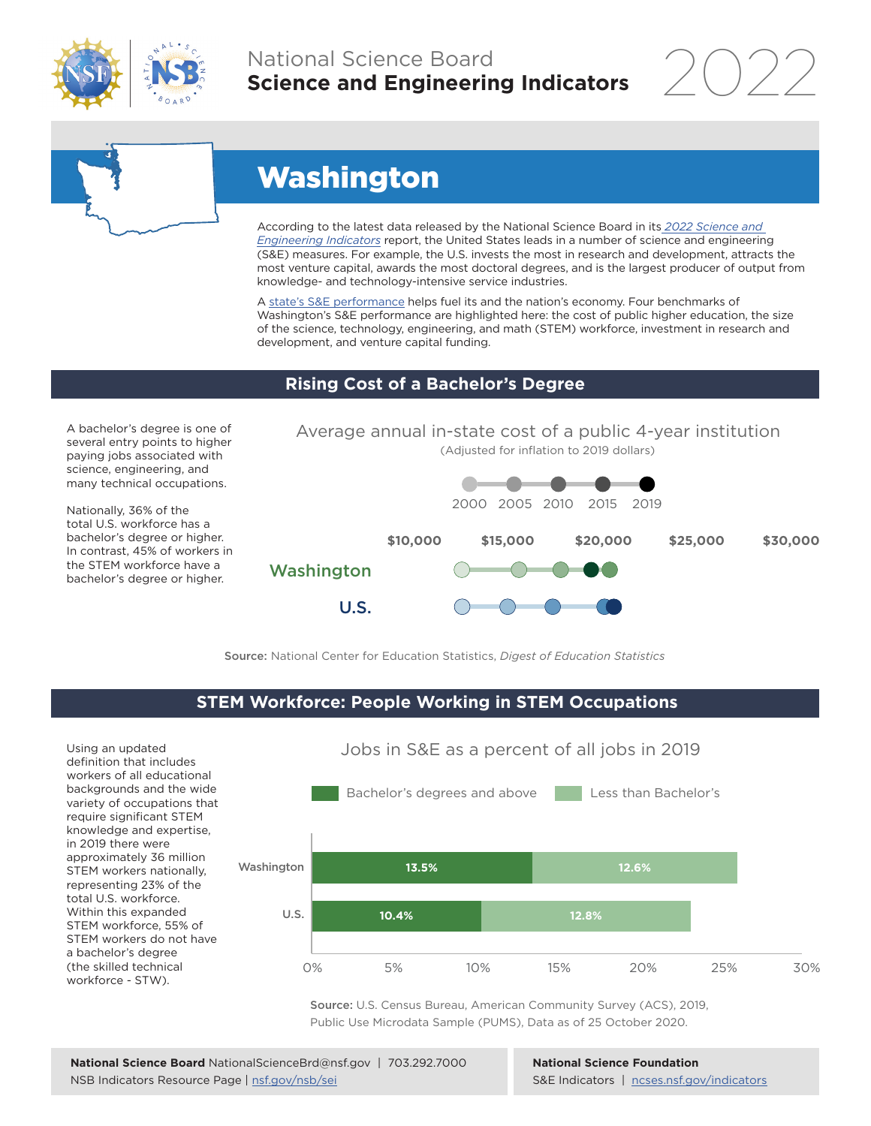

## National Science Board **Science and Engineering Indicators**



# Washington

According to the latest data released by the National Science Board in its *[2022 Science and](https://www.ncses.nsf.gov/indicators)  [Engineering Indicators](https://www.ncses.nsf.gov/indicators)* report, the United States leads in a number of science and engineering (S&E) measures. For example, the U.S. invests the most in research and development, attracts the most venture capital, awards the most doctoral degrees, and is the largest producer of output from knowledge- and technology-intensive service industries.

A [state's S&E performance](https://ncses.nsf.gov/indicators/states/) helps fuel its and the nation's economy. Four benchmarks of Washington's S&E performance are highlighted here: the cost of public higher education, the size of the science, technology, engineering, and math (STEM) workforce, investment in research and development, and venture capital funding.

#### **Rising Cost of a Bachelor's Degree**

A bachelor's degree is one of several entry points to higher paying jobs associated with science, engineering, and many technical occupations.

Nationally, 36% of the total U.S. workforce has a bachelor's degree or higher. In contrast, 45% of workers in the STEM workforce have a bachelor's degree or higher.



Source: National Center for Education Statistics, *Digest of Education Statistics*

#### **STEM Workforce: People Working in STEM Occupations**

Using an updated definition that includes workers of all educational backgrounds and the wide variety of occupations that require significant STEM knowledge and expertise, in 2019 there were approximately 36 million STEM workers nationally, representing 23% of the total U.S. workforce. Within this expanded STEM workforce, 55% of STEM workers do not have a bachelor's degree (the skilled technical workforce - STW).



Jobs in S&E as a percent of all jobs in 2019

Source: U.S. Census Bureau, American Community Survey (ACS), 2019, Public Use Microdata Sample (PUMS), Data as of 25 October 2020.

**National Science Foundation** S&E Indicators | [ncses.nsf.gov/indicators](https://www.ncses.nsf.gov/indicators)